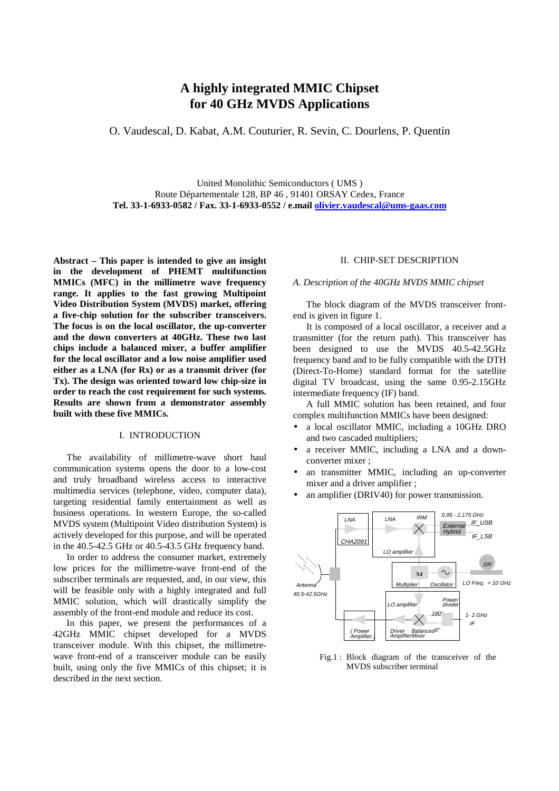# **A highly integrated MMIC Chipset for 40 GHz MVDS Applications**

O. Vaudescal, D. Kabat, A.M. Couturier, R. Sevin, C. Dourlens, P. Quentin

United Monolithic Semiconductors ( UMS ) Route Départementale 128, BP 46 , 91401 ORSAY Cedex, France **Tel. 33-1-6933-0582 / Fax. 33-1-6933-0552 / e.mail [olivier.vaudescal@ums-gaas.com](mailto:olivier.vaudescal@ums-gaas.com)**

**Abstract – This paper is intended to give an insight in the development of PHEMT multifunction MMICs (MFC) in the millimetre wave frequency range. It applies to the fast growing Multipoint Video Distribution System (MVDS) market, offering a five-chip solution for the subscriber transceivers. The focus is on the local oscillator, the up-converter and the down converters at 40GHz. These two last chips include a balanced mixer, a buffer amplifier for the local oscillator and a low noise amplifier used either as a LNA (for Rx) or as a transmit driver (for Tx). The design was oriented toward low chip-size in order to reach the cost requirement for such systems. Results are shown from a demonstrator assembly built with these five MMICs.**

### I. INTRODUCTION

The availability of millimetre-wave short haul communication systems opens the door to a low-cost and truly broadband wireless access to interactive multimedia services (telephone, video, computer data), targeting residential family entertainment as well as business operations. In western Europe, the so-called MVDS system (Multipoint Video distribution System) is actively developed for this purpose, and will be operated in the 40.5-42.5 GHz or 40.5-43.5 GHz frequency band.

In order to address the consumer market, extremely low prices for the millimetre-wave front-end of the subscriber terminals are requested, and, in our view, this will be feasible only with a highly integrated and full MMIC solution, which will drastically simplify the assembly of the front-end module and reduce its cost.

In this paper, we present the performances of a 42GHz MMIC chipset developed for a MVDS transceiver module. With this chipset, the millimetrewave front-end of a transceiver module can be easily built, using only the five MMICs of this chipset; it is described in the next section.

#### II. CHIP-SET DESCRIPTION

### *A. Description of the 40GHz MVDS MMIC chipset*

The block diagram of the MVDS transceiver frontend is given in figure 1.

It is composed of a local oscillator, a receiver and a transmitter (for the return path). This transceiver has been designed to use the MVDS 40.5-42.5GHz frequency band and to be fully compatible with the DTH (Direct-To-Home) standard format for the satellite digital TV broadcast, using the same 0.95-2.15GHz intermediate frequency (IF) band.

A full MMIC solution has been retained, and four complex multifunction MMICs have been designed:

- a local oscillator MMIC, including a 10GHz DRO and two cascaded multipliers;
- a receiver MMIC, including a LNA and a downconverter mixer ;
- an transmitter MMIC, including an up-converter mixer and a driver amplifier ;
- an amplifier (DRIV40) for power transmission.



Fig.1 : Block diagram of the transceiver of the MVDS subscriber terminal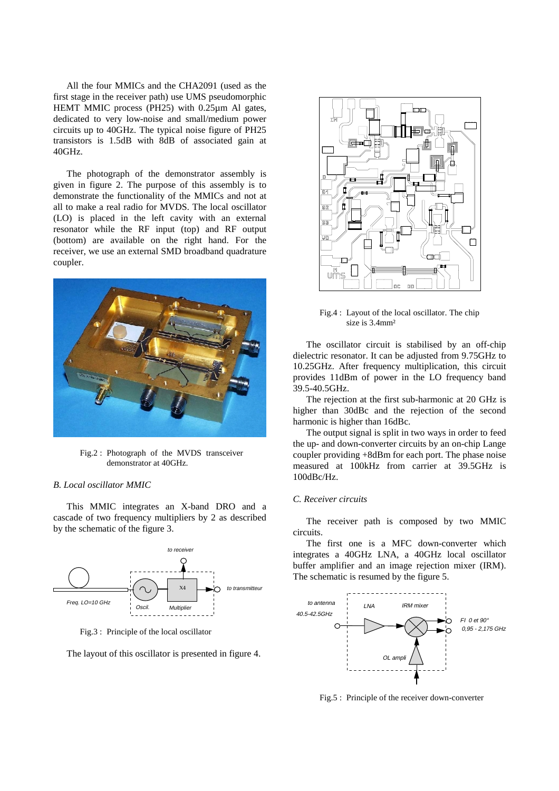All the four MMICs and the CHA2091 (used as the first stage in the receiver path) use UMS pseudomorphic HEMT MMIC process (PH25) with 0.25µm Al gates, dedicated to very low-noise and small/medium power circuits up to 40GHz. The typical noise figure of PH25 transistors is 1.5dB with 8dB of associated gain at 40GHz.

The photograph of the demonstrator assembly is given in figure 2. The purpose of this assembly is to demonstrate the functionality of the MMICs and not at all to make a real radio for MVDS. The local oscillator (LO) is placed in the left cavity with an external resonator while the RF input (top) and RF output (bottom) are available on the right hand. For the receiver, we use an external SMD broadband quadrature coupler.



Fig.2 : Photograph of the MVDS transceiver demonstrator at 40GHz.

#### *B. Local oscillator MMIC*

This MMIC integrates an X-band DRO and a cascade of two frequency multipliers by 2 as described by the schematic of the figure 3.



Fig.3 : Principle of the local oscillator

The layout of this oscillator is presented in figure 4.



Fig.4 : Layout of the local oscillator. The chip size is 3.4mm<sup>2</sup>

The oscillator circuit is stabilised by an off-chip dielectric resonator. It can be adjusted from 9.75GHz to 10.25GHz. After frequency multiplication, this circuit provides 11dBm of power in the LO frequency band 39.5-40.5GHz.

The rejection at the first sub-harmonic at 20 GHz is higher than 30dBc and the rejection of the second harmonic is higher than 16dBc.

The output signal is split in two ways in order to feed the up- and down-converter circuits by an on-chip Lange coupler providing +8dBm for each port. The phase noise measured at 100kHz from carrier at 39.5GHz is 100dBc/Hz.

## *C. Receiver circuits*

The receiver path is composed by two MMIC circuits.

The first one is a MFC down-converter which integrates a 40GHz LNA, a 40GHz local oscillator buffer amplifier and an image rejection mixer (IRM). The schematic is resumed by the figure 5.



Fig.5 : Principle of the receiver down-converter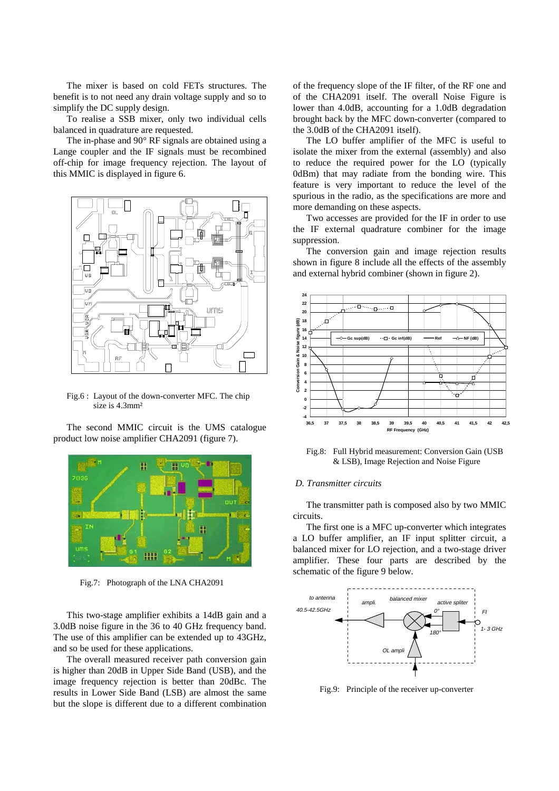The mixer is based on cold FETs structures. The benefit is to not need any drain voltage supply and so to simplify the DC supply design.

To realise a SSB mixer, only two individual cells balanced in quadrature are requested.

The in-phase and 90° RF signals are obtained using a Lange coupler and the IF signals must be recombined off-chip for image frequency rejection. The layout of this MMIC is displayed in figure 6.



Fig.6 : Layout of the down-converter MFC. The chip size is 4.3mm²

The second MMIC circuit is the UMS catalogue product low noise amplifier CHA2091 (figure 7).



Fig.7: Photograph of the LNA CHA2091

This two-stage amplifier exhibits a 14dB gain and a 3.0dB noise figure in the 36 to 40 GHz frequency band. The use of this amplifier can be extended up to 43GHz, and so be used for these applications.

The overall measured receiver path conversion gain is higher than 20dB in Upper Side Band (USB), and the image frequency rejection is better than 20dBc. The results in Lower Side Band (LSB) are almost the same but the slope is different due to a different combination of the frequency slope of the IF filter, of the RF one and of the CHA2091 itself. The overall Noise Figure is lower than 4.0dB, accounting for a 1.0dB degradation brought back by the MFC down-converter (compared to the 3.0dB of the CHA2091 itself).

The LO buffer amplifier of the MFC is useful to isolate the mixer from the external (assembly) and also to reduce the required power for the LO (typically 0dBm) that may radiate from the bonding wire. This feature is very important to reduce the level of the spurious in the radio, as the specifications are more and more demanding on these aspects.

Two accesses are provided for the IF in order to use the IF external quadrature combiner for the image suppression.

The conversion gain and image rejection results shown in figure 8 include all the effects of the assembly and external hybrid combiner (shown in figure 2).



Fig.8: Full Hybrid measurement: Conversion Gain (USB & LSB), Image Rejection and Noise Figure

#### *D. Transmitter circuits*

The transmitter path is composed also by two MMIC circuits.

The first one is a MFC up-converter which integrates a LO buffer amplifier, an IF input splitter circuit, a balanced mixer for LO rejection, and a two-stage driver amplifier. These four parts are described by the schematic of the figure 9 below.



Fig.9: Principle of the receiver up-converter